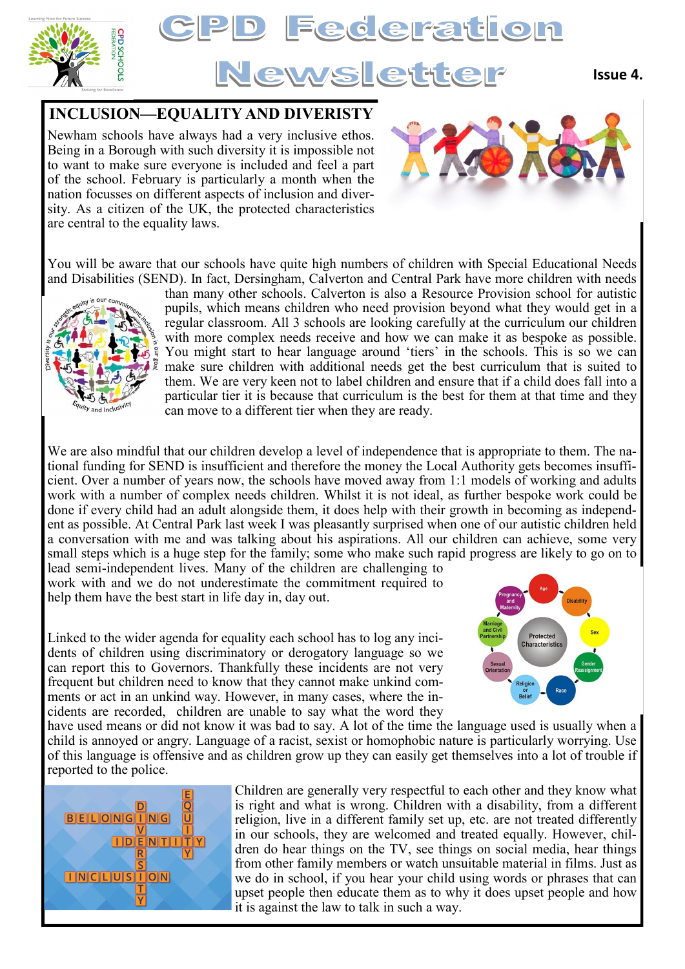



## **INCLUSION—EQUALITY AND DIVERISTY**

Newham schools have always had a very inclusive ethos. Being in a Borough with such diversity it is impossible not to want to make sure everyone is included and feel a part of the school. February is particularly a month when the nation focusses on different aspects of inclusion and diversity. As a citizen of the UK, the protected characteristics are central to the equality laws.



You will be aware that our schools have quite high numbers of children with Special Educational Needs and Disabilities (SEND). In fact, Dersingham, Calverton and Central Park have more children with needs



than many other schools. Calverton is also a Resource Provision school for autistic pupils, which means children who need provision beyond what they would get in a regular classroom. All 3 schools are looking carefully at the curriculum our children with more complex needs receive and how we can make it as bespoke as possible. You might start to hear language around 'tiers' in the schools. This is so we can make sure children with additional needs get the best curriculum that is suited to them. We are very keen not to label children and ensure that if a child does fall into a particular tier it is because that curriculum is the best for them at that time and they can move to a different tier when they are ready.

We are also mindful that our children develop a level of independence that is appropriate to them. The national funding for SEND is insufficient and therefore the money the Local Authority gets becomes insufficient. Over a number of years now, the schools have moved away from 1:1 models of working and adults work with a number of complex needs children. Whilst it is not ideal, as further bespoke work could be done if every child had an adult alongside them, it does help with their growth in becoming as independent as possible. At Central Park last week I was pleasantly surprised when one of our autistic children held a conversation with me and was talking about his aspirations. All our children can achieve, some very small steps which is a huge step for the family; some who make such rapid progress are likely to go on to

lead semi-independent lives. Many of the children are challenging to work with and we do not underestimate the commitment required to help them have the best start in life day in, day out.

Linked to the wider agenda for equality each school has to log any incidents of children using discriminatory or derogatory language so we can report this to Governors. Thankfully these incidents are not very frequent but children need to know that they cannot make unkind comments or act in an unkind way. However, in many cases, where the incidents are recorded, children are unable to say what the word they



have used means or did not know it was bad to say. A lot of the time the language used is usually when a child is annoyed or angry. Language of a racist, sexist or homophobic nature is particularly worrying. Use of this language is offensive and as children grow up they can easily get themselves into a lot of trouble if reported to the police.



Children are generally very respectful to each other and they know what is right and what is wrong. Children with a disability, from a different religion, live in a different family set up, etc. are not treated differently in our schools, they are welcomed and treated equally. However, children do hear things on the TV, see things on social media, hear things from other family members or watch unsuitable material in films. Just as we do in school, if you hear your child using words or phrases that can upset people then educate them as to why it does upset people and how it is against the law to talk in such a way.